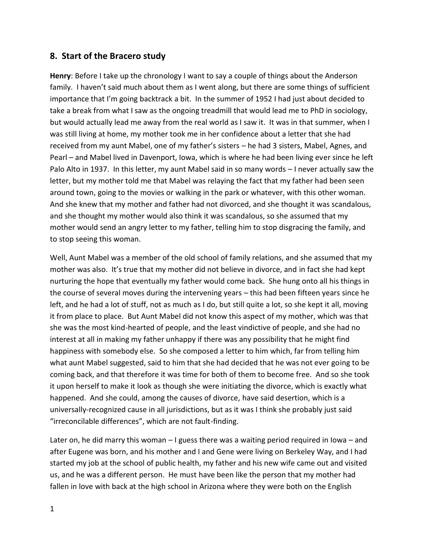## **8. Start of the Bracero study**

**Henry**: Before I take up the chronology I want to say a couple of things about the Anderson family. I haven't said much about them as I went along, but there are some things of sufficient importance that I'm going backtrack a bit. In the summer of 1952 I had just about decided to take a break from what I saw as the ongoing treadmill that would lead me to PhD in sociology, but would actually lead me away from the real world as I saw it. It was in that summer, when I was still living at home, my mother took me in her confidence about a letter that she had received from my aunt Mabel, one of my father's sisters – he had 3 sisters, Mabel, Agnes, and Pearl – and Mabel lived in Davenport, Iowa, which is where he had been living ever since he left Palo Alto in 1937. In this letter, my aunt Mabel said in so many words – I never actually saw the letter, but my mother told me that Mabel was relaying the fact that my father had been seen around town, going to the movies or walking in the park or whatever, with this other woman. And she knew that my mother and father had not divorced, and she thought it was scandalous, and she thought my mother would also think it was scandalous, so she assumed that my mother would send an angry letter to my father, telling him to stop disgracing the family, and to stop seeing this woman.

Well, Aunt Mabel was a member of the old school of family relations, and she assumed that my mother was also. It's true that my mother did not believe in divorce, and in fact she had kept nurturing the hope that eventually my father would come back. She hung onto all his things in the course of several moves during the intervening years – this had been fifteen years since he left, and he had a lot of stuff, not as much as I do, but still quite a lot, so she kept it all, moving it from place to place. But Aunt Mabel did not know this aspect of my mother, which was that she was the most kind-hearted of people, and the least vindictive of people, and she had no interest at all in making my father unhappy if there was any possibility that he might find happiness with somebody else. So she composed a letter to him which, far from telling him what aunt Mabel suggested, said to him that she had decided that he was not ever going to be coming back, and that therefore it was time for both of them to become free. And so she took it upon herself to make it look as though she were initiating the divorce, which is exactly what happened. And she could, among the causes of divorce, have said desertion, which is a universally-recognized cause in all jurisdictions, but as it was I think she probably just said "irreconcilable differences", which are not fault-finding.

Later on, he did marry this woman – I guess there was a waiting period required in Iowa – and after Eugene was born, and his mother and I and Gene were living on Berkeley Way, and I had started my job at the school of public health, my father and his new wife came out and visited us, and he was a different person. He must have been like the person that my mother had fallen in love with back at the high school in Arizona where they were both on the English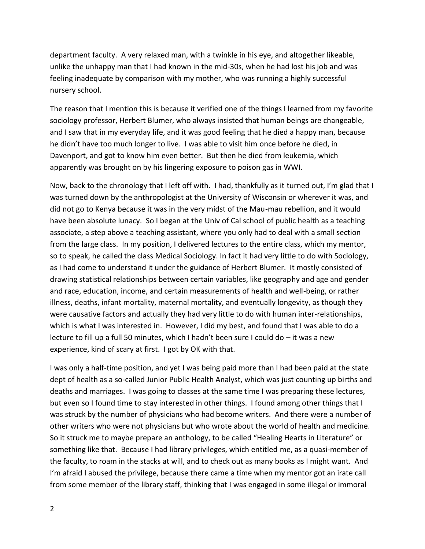department faculty. A very relaxed man, with a twinkle in his eye, and altogether likeable, unlike the unhappy man that I had known in the mid-30s, when he had lost his job and was feeling inadequate by comparison with my mother, who was running a highly successful nursery school.

The reason that I mention this is because it verified one of the things I learned from my favorite sociology professor, Herbert Blumer, who always insisted that human beings are changeable, and I saw that in my everyday life, and it was good feeling that he died a happy man, because he didn't have too much longer to live. I was able to visit him once before he died, in Davenport, and got to know him even better. But then he died from leukemia, which apparently was brought on by his lingering exposure to poison gas in WWI.

Now, back to the chronology that I left off with. I had, thankfully as it turned out, I'm glad that I was turned down by the anthropologist at the University of Wisconsin or wherever it was, and did not go to Kenya because it was in the very midst of the Mau-mau rebellion, and it would have been absolute lunacy. So I began at the Univ of Cal school of public health as a teaching associate, a step above a teaching assistant, where you only had to deal with a small section from the large class. In my position, I delivered lectures to the entire class, which my mentor, so to speak, he called the class Medical Sociology. In fact it had very little to do with Sociology, as I had come to understand it under the guidance of Herbert Blumer. It mostly consisted of drawing statistical relationships between certain variables, like geography and age and gender and race, education, income, and certain measurements of health and well-being, or rather illness, deaths, infant mortality, maternal mortality, and eventually longevity, as though they were causative factors and actually they had very little to do with human inter-relationships, which is what I was interested in. However, I did my best, and found that I was able to do a lecture to fill up a full 50 minutes, which I hadn't been sure I could do – it was a new experience, kind of scary at first. I got by OK with that.

I was only a half-time position, and yet I was being paid more than I had been paid at the state dept of health as a so-called Junior Public Health Analyst, which was just counting up births and deaths and marriages. I was going to classes at the same time I was preparing these lectures, but even so I found time to stay interested in other things. I found among other things that I was struck by the number of physicians who had become writers. And there were a number of other writers who were not physicians but who wrote about the world of health and medicine. So it struck me to maybe prepare an anthology, to be called "Healing Hearts in Literature" or something like that. Because I had library privileges, which entitled me, as a quasi-member of the faculty, to roam in the stacks at will, and to check out as many books as I might want. And I'm afraid I abused the privilege, because there came a time when my mentor got an irate call from some member of the library staff, thinking that I was engaged in some illegal or immoral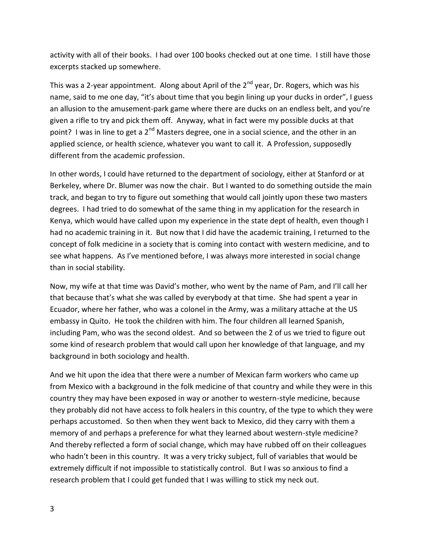activity with all of their books. I had over 100 books checked out at one time. I still have those excerpts stacked up somewhere.

This was a 2-year appointment. Along about April of the  $2^{nd}$  year, Dr. Rogers, which was his name, said to me one day, "it's about time that you begin lining up your ducks in order", I guess an allusion to the amusement-park game where there are ducks on an endless belt, and you're given a rifle to try and pick them off. Anyway, what in fact were my possible ducks at that point? I was in line to get a 2<sup>nd</sup> Masters degree, one in a social science, and the other in an applied science, or health science, whatever you want to call it. A Profession, supposedly different from the academic profession.

In other words, I could have returned to the department of sociology, either at Stanford or at Berkeley, where Dr. Blumer was now the chair. But I wanted to do something outside the main track, and began to try to figure out something that would call jointly upon these two masters degrees. I had tried to do somewhat of the same thing in my application for the research in Kenya, which would have called upon my experience in the state dept of health, even though I had no academic training in it. But now that I did have the academic training, I returned to the concept of folk medicine in a society that is coming into contact with western medicine, and to see what happens. As I've mentioned before, I was always more interested in social change than in social stability.

Now, my wife at that time was David's mother, who went by the name of Pam, and I'll call her that because that's what she was called by everybody at that time. She had spent a year in Ecuador, where her father, who was a colonel in the Army, was a military attache at the US embassy in Quito. He took the children with him. The four children all learned Spanish, including Pam, who was the second oldest. And so between the 2 of us we tried to figure out some kind of research problem that would call upon her knowledge of that language, and my background in both sociology and health.

And we hit upon the idea that there were a number of Mexican farm workers who came up from Mexico with a background in the folk medicine of that country and while they were in this country they may have been exposed in way or another to western-style medicine, because they probably did not have access to folk healers in this country, of the type to which they were perhaps accustomed. So then when they went back to Mexico, did they carry with them a memory of and perhaps a preference for what they learned about western-style medicine? And thereby reflected a form of social change, which may have rubbed off on their colleagues who hadn't been in this country. It was a very tricky subject, full of variables that would be extremely difficult if not impossible to statistically control. But I was so anxious to find a research problem that I could get funded that I was willing to stick my neck out.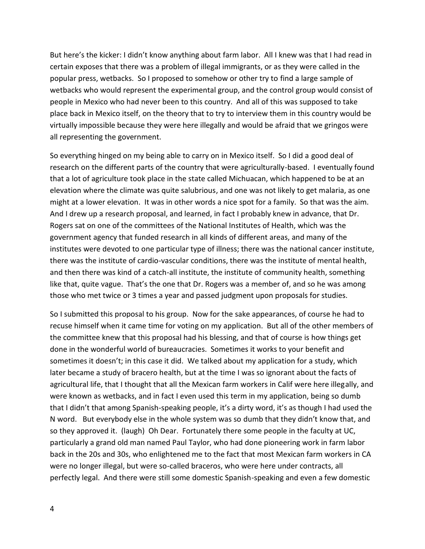But here's the kicker: I didn't know anything about farm labor. All I knew was that I had read in certain exposes that there was a problem of illegal immigrants, or as they were called in the popular press, wetbacks. So I proposed to somehow or other try to find a large sample of wetbacks who would represent the experimental group, and the control group would consist of people in Mexico who had never been to this country. And all of this was supposed to take place back in Mexico itself, on the theory that to try to interview them in this country would be virtually impossible because they were here illegally and would be afraid that we gringos were all representing the government.

So everything hinged on my being able to carry on in Mexico itself. So I did a good deal of research on the different parts of the country that were agriculturally-based. I eventually found that a lot of agriculture took place in the state called Michuacan, which happened to be at an elevation where the climate was quite salubrious, and one was not likely to get malaria, as one might at a lower elevation. It was in other words a nice spot for a family. So that was the aim. And I drew up a research proposal, and learned, in fact I probably knew in advance, that Dr. Rogers sat on one of the committees of the National Institutes of Health, which was the government agency that funded research in all kinds of different areas, and many of the institutes were devoted to one particular type of illness; there was the national cancer institute, there was the institute of cardio-vascular conditions, there was the institute of mental health, and then there was kind of a catch-all institute, the institute of community health, something like that, quite vague. That's the one that Dr. Rogers was a member of, and so he was among those who met twice or 3 times a year and passed judgment upon proposals for studies.

So I submitted this proposal to his group. Now for the sake appearances, of course he had to recuse himself when it came time for voting on my application. But all of the other members of the committee knew that this proposal had his blessing, and that of course is how things get done in the wonderful world of bureaucracies. Sometimes it works to your benefit and sometimes it doesn't; in this case it did. We talked about my application for a study, which later became a study of bracero health, but at the time I was so ignorant about the facts of agricultural life, that I thought that all the Mexican farm workers in Calif were here illegally, and were known as wetbacks, and in fact I even used this term in my application, being so dumb that I didn't that among Spanish-speaking people, it's a dirty word, it's as though I had used the N word. But everybody else in the whole system was so dumb that they didn't know that, and so they approved it. (laugh) Oh Dear. Fortunately there some people in the faculty at UC, particularly a grand old man named Paul Taylor, who had done pioneering work in farm labor back in the 20s and 30s, who enlightened me to the fact that most Mexican farm workers in CA were no longer illegal, but were so-called braceros, who were here under contracts, all perfectly legal. And there were still some domestic Spanish-speaking and even a few domestic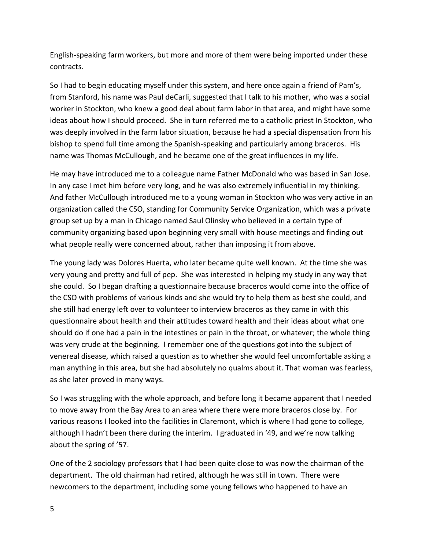English-speaking farm workers, but more and more of them were being imported under these contracts.

So I had to begin educating myself under this system, and here once again a friend of Pam's, from Stanford, his name was Paul deCarli, suggested that I talk to his mother, who was a social worker in Stockton, who knew a good deal about farm labor in that area, and might have some ideas about how I should proceed. She in turn referred me to a catholic priest In Stockton, who was deeply involved in the farm labor situation, because he had a special dispensation from his bishop to spend full time among the Spanish-speaking and particularly among braceros. His name was Thomas McCullough, and he became one of the great influences in my life.

He may have introduced me to a colleague name Father McDonald who was based in San Jose. In any case I met him before very long, and he was also extremely influential in my thinking. And father McCullough introduced me to a young woman in Stockton who was very active in an organization called the CSO, standing for Community Service Organization, which was a private group set up by a man in Chicago named Saul Olinsky who believed in a certain type of community organizing based upon beginning very small with house meetings and finding out what people really were concerned about, rather than imposing it from above.

The young lady was Dolores Huerta, who later became quite well known. At the time she was very young and pretty and full of pep. She was interested in helping my study in any way that she could. So I began drafting a questionnaire because braceros would come into the office of the CSO with problems of various kinds and she would try to help them as best she could, and she still had energy left over to volunteer to interview braceros as they came in with this questionnaire about health and their attitudes toward health and their ideas about what one should do if one had a pain in the intestines or pain in the throat, or whatever; the whole thing was very crude at the beginning. I remember one of the questions got into the subject of venereal disease, which raised a question as to whether she would feel uncomfortable asking a man anything in this area, but she had absolutely no qualms about it. That woman was fearless, as she later proved in many ways.

So I was struggling with the whole approach, and before long it became apparent that I needed to move away from the Bay Area to an area where there were more braceros close by. For various reasons I looked into the facilities in Claremont, which is where I had gone to college, although I hadn't been there during the interim. I graduated in '49, and we're now talking about the spring of '57.

One of the 2 sociology professors that I had been quite close to was now the chairman of the department. The old chairman had retired, although he was still in town. There were newcomers to the department, including some young fellows who happened to have an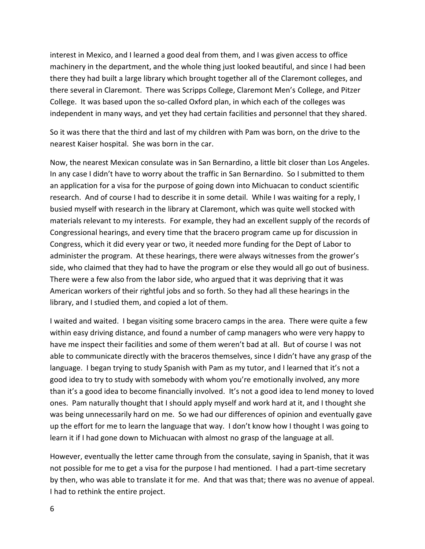interest in Mexico, and I learned a good deal from them, and I was given access to office machinery in the department, and the whole thing just looked beautiful, and since I had been there they had built a large library which brought together all of the Claremont colleges, and there several in Claremont. There was Scripps College, Claremont Men's College, and Pitzer College. It was based upon the so-called Oxford plan, in which each of the colleges was independent in many ways, and yet they had certain facilities and personnel that they shared.

So it was there that the third and last of my children with Pam was born, on the drive to the nearest Kaiser hospital. She was born in the car.

Now, the nearest Mexican consulate was in San Bernardino, a little bit closer than Los Angeles. In any case I didn't have to worry about the traffic in San Bernardino. So I submitted to them an application for a visa for the purpose of going down into Michuacan to conduct scientific research. And of course I had to describe it in some detail. While I was waiting for a reply, I busied myself with research in the library at Claremont, which was quite well stocked with materials relevant to my interests. For example, they had an excellent supply of the records of Congressional hearings, and every time that the bracero program came up for discussion in Congress, which it did every year or two, it needed more funding for the Dept of Labor to administer the program. At these hearings, there were always witnesses from the grower's side, who claimed that they had to have the program or else they would all go out of business. There were a few also from the labor side, who argued that it was depriving that it was American workers of their rightful jobs and so forth. So they had all these hearings in the library, and I studied them, and copied a lot of them.

I waited and waited. I began visiting some bracero camps in the area. There were quite a few within easy driving distance, and found a number of camp managers who were very happy to have me inspect their facilities and some of them weren't bad at all. But of course I was not able to communicate directly with the braceros themselves, since I didn't have any grasp of the language. I began trying to study Spanish with Pam as my tutor, and I learned that it's not a good idea to try to study with somebody with whom you're emotionally involved, any more than it's a good idea to become financially involved. It's not a good idea to lend money to loved ones. Pam naturally thought that I should apply myself and work hard at it, and I thought she was being unnecessarily hard on me. So we had our differences of opinion and eventually gave up the effort for me to learn the language that way. I don't know how I thought I was going to learn it if I had gone down to Michuacan with almost no grasp of the language at all.

However, eventually the letter came through from the consulate, saying in Spanish, that it was not possible for me to get a visa for the purpose I had mentioned. I had a part-time secretary by then, who was able to translate it for me. And that was that; there was no avenue of appeal. I had to rethink the entire project.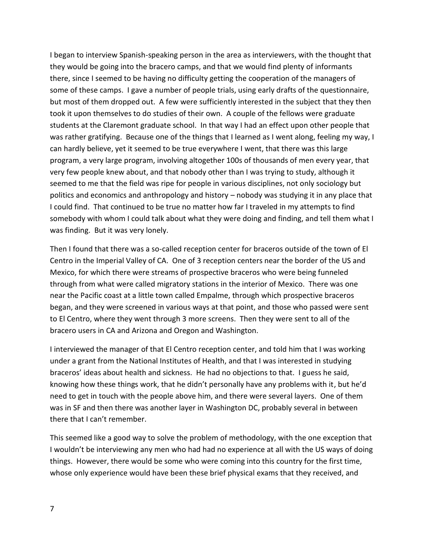I began to interview Spanish-speaking person in the area as interviewers, with the thought that they would be going into the bracero camps, and that we would find plenty of informants there, since I seemed to be having no difficulty getting the cooperation of the managers of some of these camps. I gave a number of people trials, using early drafts of the questionnaire, but most of them dropped out. A few were sufficiently interested in the subject that they then took it upon themselves to do studies of their own. A couple of the fellows were graduate students at the Claremont graduate school. In that way I had an effect upon other people that was rather gratifying. Because one of the things that I learned as I went along, feeling my way, I can hardly believe, yet it seemed to be true everywhere I went, that there was this large program, a very large program, involving altogether 100s of thousands of men every year, that very few people knew about, and that nobody other than I was trying to study, although it seemed to me that the field was ripe for people in various disciplines, not only sociology but politics and economics and anthropology and history – nobody was studying it in any place that I could find. That continued to be true no matter how far I traveled in my attempts to find somebody with whom I could talk about what they were doing and finding, and tell them what I was finding. But it was very lonely.

Then I found that there was a so-called reception center for braceros outside of the town of El Centro in the Imperial Valley of CA. One of 3 reception centers near the border of the US and Mexico, for which there were streams of prospective braceros who were being funneled through from what were called migratory stations in the interior of Mexico. There was one near the Pacific coast at a little town called Empalme, through which prospective braceros began, and they were screened in various ways at that point, and those who passed were sent to El Centro, where they went through 3 more screens. Then they were sent to all of the bracero users in CA and Arizona and Oregon and Washington.

I interviewed the manager of that El Centro reception center, and told him that I was working under a grant from the National Institutes of Health, and that I was interested in studying braceros' ideas about health and sickness. He had no objections to that. I guess he said, knowing how these things work, that he didn't personally have any problems with it, but he'd need to get in touch with the people above him, and there were several layers. One of them was in SF and then there was another layer in Washington DC, probably several in between there that I can't remember.

This seemed like a good way to solve the problem of methodology, with the one exception that I wouldn't be interviewing any men who had had no experience at all with the US ways of doing things. However, there would be some who were coming into this country for the first time, whose only experience would have been these brief physical exams that they received, and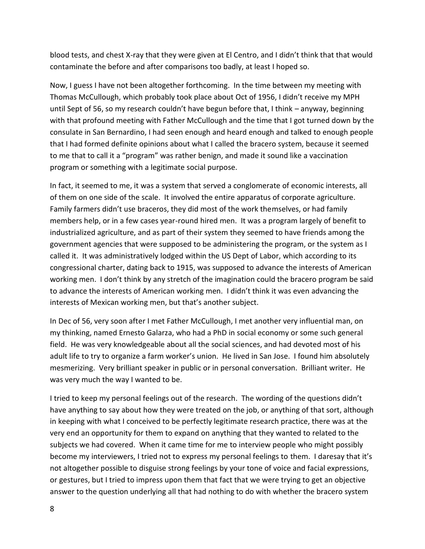blood tests, and chest X-ray that they were given at El Centro, and I didn't think that that would contaminate the before and after comparisons too badly, at least I hoped so.

Now, I guess I have not been altogether forthcoming. In the time between my meeting with Thomas McCullough, which probably took place about Oct of 1956, I didn't receive my MPH until Sept of 56, so my research couldn't have begun before that, I think – anyway, beginning with that profound meeting with Father McCullough and the time that I got turned down by the consulate in San Bernardino, I had seen enough and heard enough and talked to enough people that I had formed definite opinions about what I called the bracero system, because it seemed to me that to call it a "program" was rather benign, and made it sound like a vaccination program or something with a legitimate social purpose.

In fact, it seemed to me, it was a system that served a conglomerate of economic interests, all of them on one side of the scale. It involved the entire apparatus of corporate agriculture. Family farmers didn't use braceros, they did most of the work themselves, or had family members help, or in a few cases year-round hired men. It was a program largely of benefit to industrialized agriculture, and as part of their system they seemed to have friends among the government agencies that were supposed to be administering the program, or the system as I called it. It was administratively lodged within the US Dept of Labor, which according to its congressional charter, dating back to 1915, was supposed to advance the interests of American working men. I don't think by any stretch of the imagination could the bracero program be said to advance the interests of American working men. I didn't think it was even advancing the interests of Mexican working men, but that's another subject.

In Dec of 56, very soon after I met Father McCullough, I met another very influential man, on my thinking, named Ernesto Galarza, who had a PhD in social economy or some such general field. He was very knowledgeable about all the social sciences, and had devoted most of his adult life to try to organize a farm worker's union. He lived in San Jose. I found him absolutely mesmerizing. Very brilliant speaker in public or in personal conversation. Brilliant writer. He was very much the way I wanted to be.

I tried to keep my personal feelings out of the research. The wording of the questions didn't have anything to say about how they were treated on the job, or anything of that sort, although in keeping with what I conceived to be perfectly legitimate research practice, there was at the very end an opportunity for them to expand on anything that they wanted to related to the subjects we had covered. When it came time for me to interview people who might possibly become my interviewers, I tried not to express my personal feelings to them. I daresay that it's not altogether possible to disguise strong feelings by your tone of voice and facial expressions, or gestures, but I tried to impress upon them that fact that we were trying to get an objective answer to the question underlying all that had nothing to do with whether the bracero system